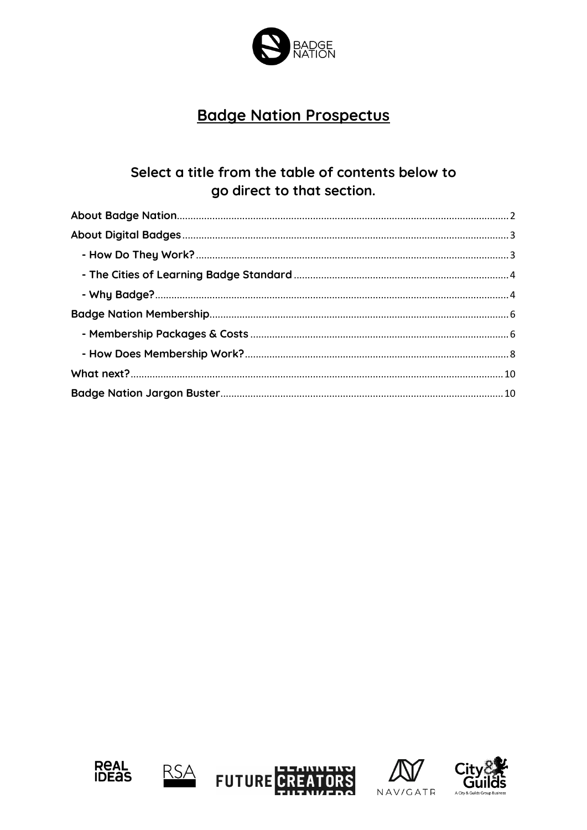

# **Badge Nation Prospectus**

# Select a title from the table of contents below to go direct to that section.









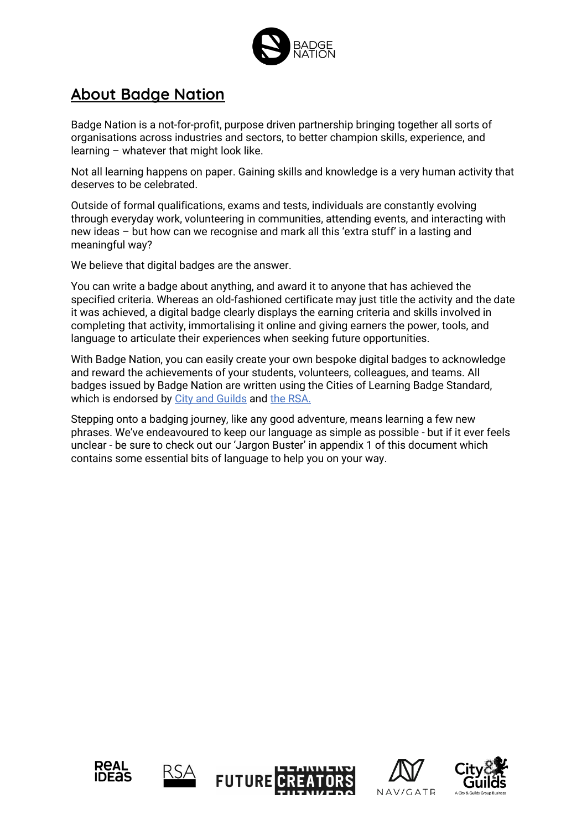

# <span id="page-1-0"></span>**About Badge Nation**

Badge Nation is a not-for-profit, purpose driven partnership bringing together all sorts of organisations across industries and sectors, to better champion skills, experience, and learning – whatever that might look like.

Not all learning happens on paper. Gaining skills and knowledge is a very human activity that deserves to be celebrated.

Outside of formal qualifications, exams and tests, individuals are constantly evolving through everyday work, volunteering in communities, attending events, and interacting with new ideas – but how can we recognise and mark all this 'extra stuff' in a lasting and meaningful way?

We believe that digital badges are the answer.

You can write a badge about anything, and award it to anyone that has achieved the specified criteria. Whereas an old-fashioned certificate may just title the activity and the date it was achieved, a digital badge clearly displays the earning criteria and skills involved in completing that activity, immortalising it online and giving earners the power, tools, and language to articulate their experiences when seeking future opportunities.

With Badge Nation, you can easily create your own bespoke digital badges to acknowledge and reward the achievements of your students, volunteers, colleagues, and teams. All badges issued by Badge Nation are written using the Cities of Learning Badge Standard, which is endorsed by [City and Guilds](https://www.cityandguilds.com/) and [the RSA.](https://www.thersa.org/)

Stepping onto a badging journey, like any good adventure, means learning a few new phrases. We've endeavoured to keep our language as simple as possible - but if it ever feels unclear - be sure to check out our 'Jargon Buster' in appendix 1 of this document which contains some essential bits of language to help you on your way.









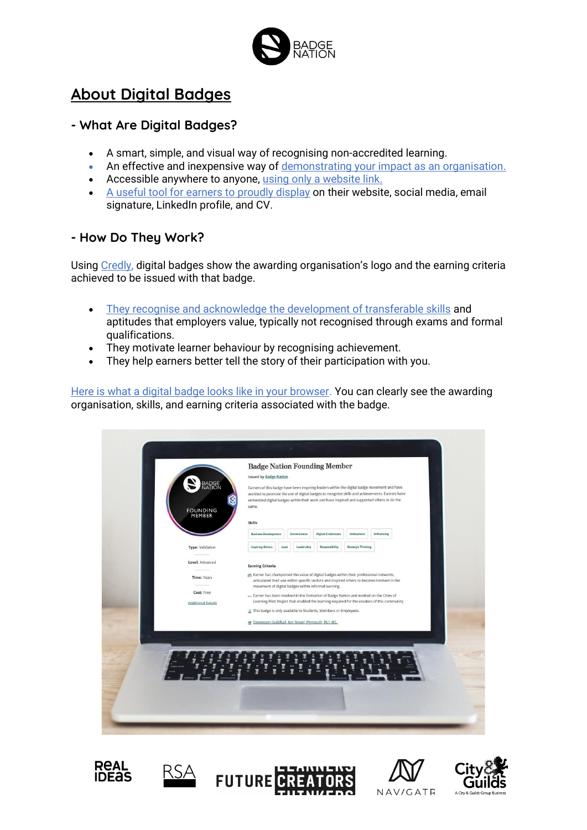

# <span id="page-2-0"></span>**About Digital Badges**

# **- What Are Digital Badges?**

- A smart, simple, and visual way of recognising non-accredited learning.
- An effective and inexpensive way of [demonstrating your impact as an organisation.](https://youtu.be/uX8JcX7HGzs)
- Accessible anywhere to anyone, [using only a website link.](https://youtu.be/2CV41BKYaPc)
- [A useful tool for earners to proudly display](https://youtu.be/Sx7b8Y8C5Ts) on their website, social media, email signature, LinkedIn profile, and CV.

## <span id="page-2-1"></span>**- How Do They Work?**

Using [Credly,](https://www.youracclaim.com/organizations/badge-nation/collections) digital badges show the awarding organisation's logo and the earning criteria achieved to be issued with that badge.

- [They recognise and acknowledge the development of transferable skills](https://youtu.be/lk9CzdXYSnk) and aptitudes that employers value, typically not recognised through exams and formal qualifications.
- They motivate learner behaviour by recognising achievement.
- They help earners better tell the story of their participation with you.

[Here is what a digital badge looks like in your browser.](https://www.credly.com/org/badge-nation/badge/shape-sustainability-impact-project-leader) You can clearly see the awarding organisation, skills, and earning criteria associated with the badge.

| <b>BADGE</b><br>NATION<br>B<br><b>FOUNDING</b><br>MEMBER                                             | <b>Badge Nation Founding Member</b><br><b>Issued by Badge Nation</b><br>Earners of this badge have been inspiring leaders within the digital badge movement and have<br>workled to promote the use of digital badges to recognise skills and achievements. Earners have<br>embedded digital badges within their work and have inspired and supported others to do the<br>same.<br>Skills                                                                                                                                                                         |                          |                                                     |                                         |                                                                                                              |  |
|------------------------------------------------------------------------------------------------------|------------------------------------------------------------------------------------------------------------------------------------------------------------------------------------------------------------------------------------------------------------------------------------------------------------------------------------------------------------------------------------------------------------------------------------------------------------------------------------------------------------------------------------------------------------------|--------------------------|-----------------------------------------------------|-----------------------------------------|--------------------------------------------------------------------------------------------------------------|--|
| <b>Type:</b> Validation<br>Level: Advanced<br>Time: Years<br>Cost: Free<br><b>Additional Details</b> | <b>Business Development</b><br><b>Inspiring Others</b><br>Lead<br><b>Earning Criteria</b><br>Earner has championed the value of digital badges within their professional networks,<br>articulated their use within specific sectors and inspired others to become involved in the<br>movement of digital badges within informal learning.<br>Earner has been involved in the formation of Badge Nation and worked on the Cities of<br>& This badge is only available to Students, Members or Employees.<br>曲 Devonport Guildhall, Ker Street, Plymouth, PL1 4EL. | Commitment<br>Leadership | <b>Digital Credentials</b><br><b>Responsibility</b> | Enthusiasm<br><b>Strategic Thinking</b> | Influencing<br>Learning Pilot Project that enabled the learning required for the creation of this community. |  |
|                                                                                                      |                                                                                                                                                                                                                                                                                                                                                                                                                                                                                                                                                                  |                          |                                                     |                                         |                                                                                                              |  |









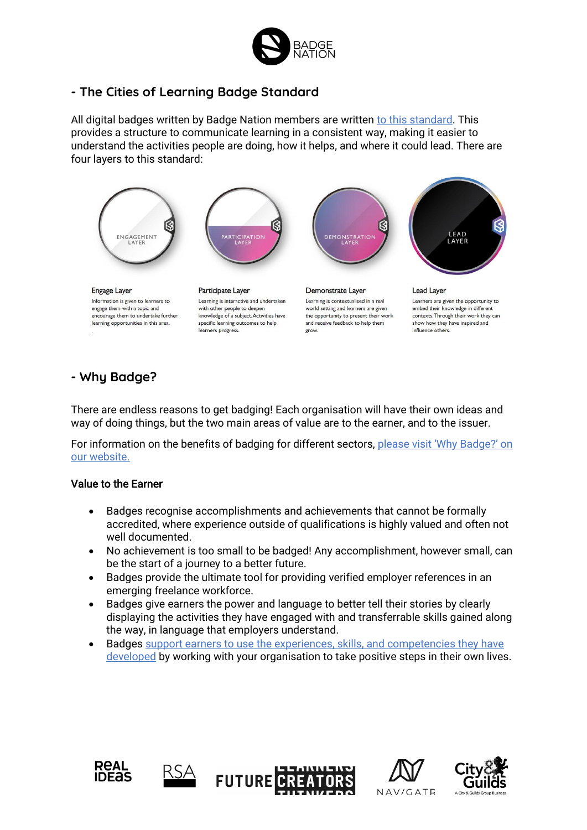

## <span id="page-3-0"></span>**- The Cities of Learning Badge Standard**

All digital badges written by Badge Nation members are written [to this standard.](https://www.thersa.org/cities-of-learning/badging-standards#:~:text=The%20Cities%20of%20Learning%20Badging,and%20Cities%20of%20Learning%20badges.) This provides a structure to communicate learning in a consistent way, making it easier to understand the activities people are doing, how it helps, and where it could lead. There are four layers to this standard:



## <span id="page-3-1"></span>**- Why Badge?**

There are endless reasons to get badging! Each organisation will have their own ideas and way of doing things, but the two main areas of value are to the earner, and to the issuer.

For information on the benefits of badging for different sectors, [please visit 'Why Badge?' on](https://www.badgenation.org/badge-school/why-badge/) our [website.](https://www.badgenation.org/badge-school/why-badge/)

### Value to the Earner

- Badges recognise accomplishments and achievements that cannot be formally accredited, where experience outside of qualifications is highly valued and often not well documented.
- No achievement is too small to be badged! Any accomplishment, however small, can be the start of a journey to a better future.
- Badges provide the ultimate tool for providing verified employer references in an emerging freelance workforce.
- Badges give earners the power and language to better tell their stories by clearly displaying the activities they have engaged with and transferrable skills gained along the way, in language that employers understand.
- Badges [support earners to use the experiences, skills, and competencies they have](https://youtu.be/lk9CzdXYSnk)  [developed](https://youtu.be/lk9CzdXYSnk) by working with your organisation to take positive steps in their own lives.









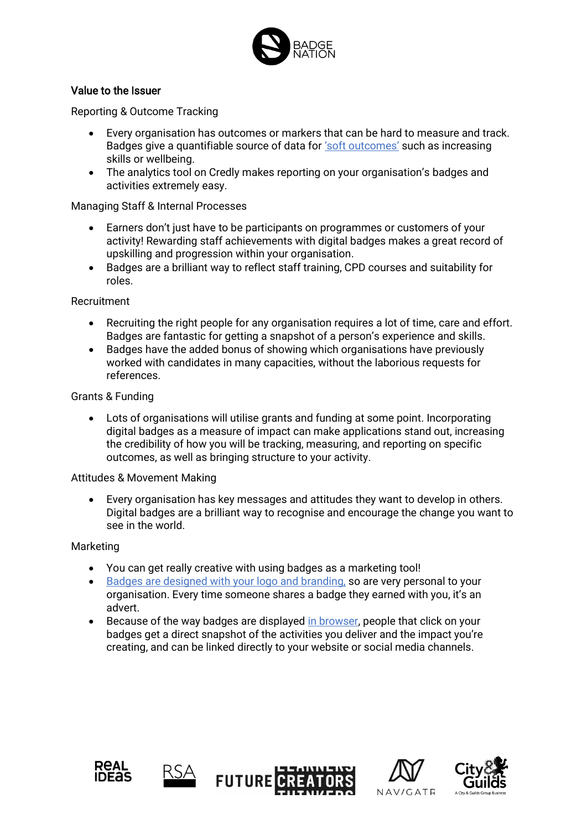

## Value to the Issuer

Reporting & Outcome Tracking

- Every organisation has outcomes or markers that can be hard to measure and track. Badges give a quantifiable source of data for ['soft outcomes'](https://www.youtube.com/watch?v=uX8JcX7HGzs) such as increasing skills or wellbeing.
- The analytics tool on Credly makes reporting on your organisation's badges and activities extremely easy.

### Managing Staff & Internal Processes

- Earners don't just have to be participants on programmes or customers of your activity! Rewarding staff achievements with digital badges makes a great record of upskilling and progression within your organisation.
- Badges are a brilliant way to reflect staff training, CPD courses and suitability for roles.

Recruitment

- Recruiting the right people for any organisation requires a lot of time, care and effort. Badges are fantastic for getting a snapshot of a person's experience and skills.
- Badges have the added bonus of showing which organisations have previously worked with candidates in many capacities, without the laborious requests for references.

Grants & Funding

• Lots of organisations will utilise grants and funding at some point. Incorporating digital badges as a measure of impact can make applications stand out, increasing the credibility of how you will be tracking, measuring, and reporting on specific outcomes, as well as bringing structure to your activity.

#### Attitudes & Movement Making

• Every organisation has key messages and attitudes they want to develop in others. Digital badges are a brilliant way to recognise and encourage the change you want to see in the world.

#### Marketing

- You can get really creative with using badges as a marketing tool!
- [Badges are designed with your logo and branding,](https://www.youtube.com/watch?v=Sx7b8Y8C5Ts) so are very personal to your organisation. Every time someone shares a badge they earned with you, it's an advert.
- Because of the way badges are displayed [in browser,](https://www.youtube.com/watch?v=2CV41BKYaPc) people that click on your badges get a direct snapshot of the activities you deliver and the impact you're creating, and can be linked directly to your website or social media channels.









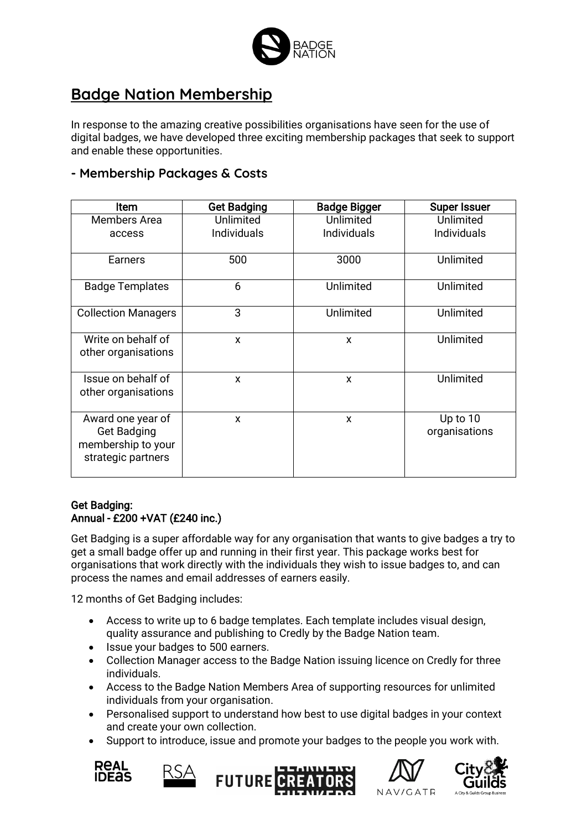

# <span id="page-5-0"></span>**Badge Nation Membership**

In response to the amazing creative possibilities organisations have seen for the use of digital badges, we have developed three exciting membership packages that seek to support and enable these opportunities.

## <span id="page-5-1"></span>**- Membership Packages & Costs**

| <b>Item</b>                                                                         | <b>Get Badging</b> | <b>Badge Bigger</b> | <b>Super Issuer</b>         |
|-------------------------------------------------------------------------------------|--------------------|---------------------|-----------------------------|
| <b>Members Area</b>                                                                 | <b>Unlimited</b>   | Unlimited           | Unlimited                   |
| access                                                                              | <b>Individuals</b> | <b>Individuals</b>  | <b>Individuals</b>          |
| Earners                                                                             | 500                | 3000                | Unlimited                   |
| <b>Badge Templates</b>                                                              | 6                  | Unlimited           | Unlimited                   |
| <b>Collection Managers</b>                                                          | 3                  | Unlimited           | Unlimited                   |
| Write on behalf of<br>other organisations                                           | X                  | X                   | Unlimited                   |
| Issue on behalf of<br>other organisations                                           | X                  | X                   | Unlimited                   |
| Award one year of<br><b>Get Badging</b><br>membership to your<br>strategic partners | X                  | X                   | Up to $10$<br>organisations |

### Get Badging: Annual - £200 +VAT (£240 inc.)

Get Badging is a super affordable way for any organisation that wants to give badges a try to get a small badge offer up and running in their first year. This package works best for organisations that work directly with the individuals they wish to issue badges to, and can process the names and email addresses of earners easily.

12 months of Get Badging includes:

- Access to write up to 6 badge templates. Each template includes visual design, quality assurance and publishing to Credly by the Badge Nation team.
- Issue your badges to 500 earners.
- Collection Manager access to the Badge Nation issuing licence on Credly for three individuals.
- Access to the Badge Nation Members Area of supporting resources for unlimited individuals from your organisation.
- Personalised support to understand how best to use digital badges in your context and create your own collection.
- Support to introduce, issue and promote your badges to the people you work with.









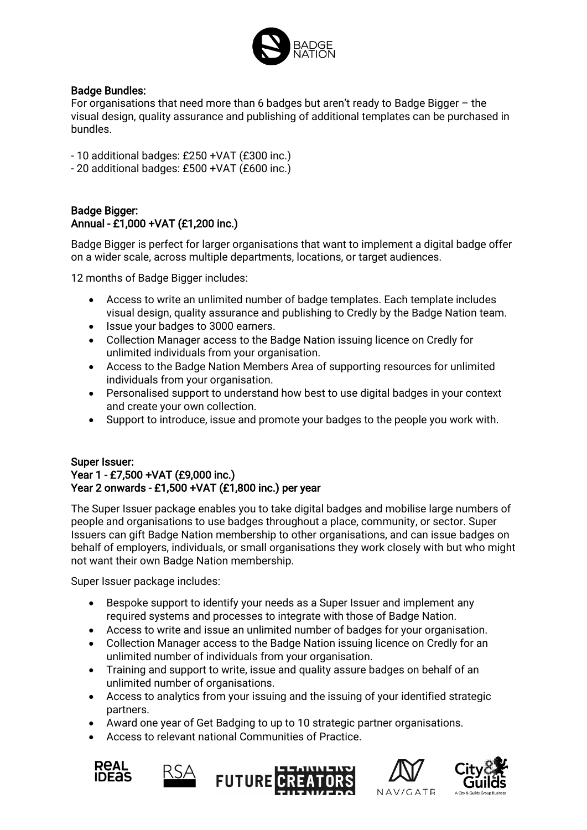

### Badge Bundles:

For organisations that need more than 6 badges but aren't ready to Badge Bigger – the visual design, quality assurance and publishing of additional templates can be purchased in bundles.

- 10 additional badges: £250 +VAT (£300 inc.)

- 20 additional badges: £500 +VAT (£600 inc.)

## Badge Bigger: Annual - £1,000 +VAT (£1,200 inc.)

Badge Bigger is perfect for larger organisations that want to implement a digital badge offer on a wider scale, across multiple departments, locations, or target audiences.

12 months of Badge Bigger includes:

- Access to write an unlimited number of badge templates. Each template includes visual design, quality assurance and publishing to Credly by the Badge Nation team.
- Issue your badges to 3000 earners.
- Collection Manager access to the Badge Nation issuing licence on Credly for unlimited individuals from your organisation.
- Access to the Badge Nation Members Area of supporting resources for unlimited individuals from your organisation.
- Personalised support to understand how best to use digital badges in your context and create your own collection.
- Support to introduce, issue and promote your badges to the people you work with.

### Super Issuer: Year 1 - £7,500 +VAT (£9,000 inc.) Year 2 onwards - £1,500 +VAT (£1,800 inc.) per year

The Super Issuer package enables you to take digital badges and mobilise large numbers of people and organisations to use badges throughout a place, community, or sector. Super Issuers can gift Badge Nation membership to other organisations, and can issue badges on behalf of employers, individuals, or small organisations they work closely with but who might not want their own Badge Nation membership.

Super Issuer package includes:

- Bespoke support to identify your needs as a Super Issuer and implement any required systems and processes to integrate with those of Badge Nation.
- Access to write and issue an unlimited number of badges for your organisation.
- Collection Manager access to the Badge Nation issuing licence on Credly for an unlimited number of individuals from your organisation.
- Training and support to write, issue and quality assure badges on behalf of an unlimited number of organisations.
- Access to analytics from your issuing and the issuing of your identified strategic partners.
- Award one year of Get Badging to up to 10 strategic partner organisations.
- Access to relevant national Communities of Practice.









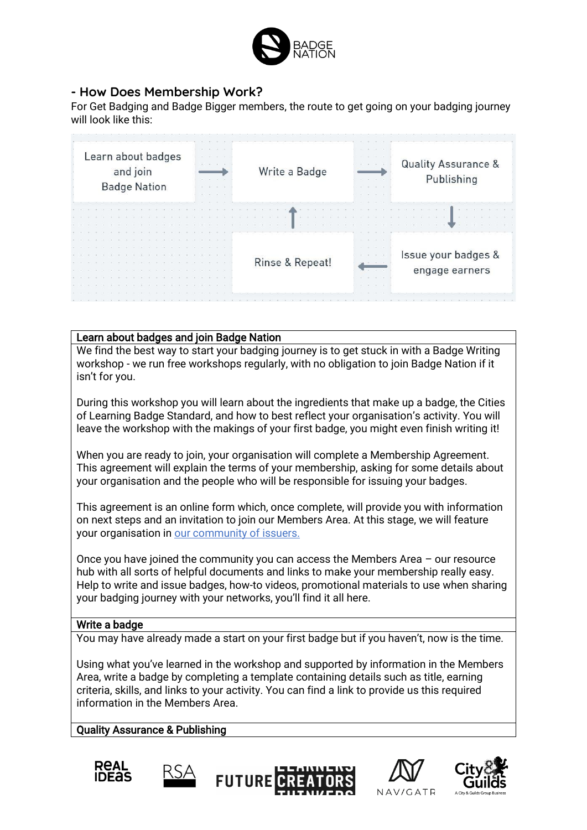

## <span id="page-7-0"></span>**- How Does Membership Work?**

For Get Badging and Badge Bigger members, the route to get going on your badging journey will look like this:

| $\mathcal{L} = \mathcal{L} = \mathcal{L}$<br>Issue your badges &<br>Rinse & Repeat!<br>engage earners |  | Learn about badges | <b>Badge Nation</b> | and join |  |  |  |  |  |  |  | the company of the company of the<br>$-0.1$ $-0.1$ $-0.1$ $-0.1$ |  |  |  |  | Write a Badge |  |  |  |  | $-1$ $-1$ $-1$ $-1$ $-1$ |  |  |  |  | Publishing |  | <b>Quality Assurance &amp;</b> |  |  |
|-------------------------------------------------------------------------------------------------------|--|--------------------|---------------------|----------|--|--|--|--|--|--|--|------------------------------------------------------------------|--|--|--|--|---------------|--|--|--|--|--------------------------|--|--|--|--|------------|--|--------------------------------|--|--|
|                                                                                                       |  |                    |                     |          |  |  |  |  |  |  |  |                                                                  |  |  |  |  |               |  |  |  |  |                          |  |  |  |  |            |  |                                |  |  |
| $-1$ $-1$ $-1$ $-1$ $-1$ $-1$                                                                         |  |                    |                     |          |  |  |  |  |  |  |  |                                                                  |  |  |  |  |               |  |  |  |  |                          |  |  |  |  |            |  |                                |  |  |

#### Learn about badges and join Badge Nation

We find the best way to start your badging journey is to get stuck in with a Badge Writing workshop - we run free workshops regularly, with no obligation to join Badge Nation if it isn't for you.

During this workshop you will learn about the ingredients that make up a badge, the Cities of Learning Badge Standard, and how to best reflect your organisation's activity. You will leave the workshop with the makings of your first badge, you might even finish writing it!

When you are ready to join, your organisation will complete a Membership Agreement. This agreement will explain the terms of your membership, asking for some details about your organisation and the people who will be responsible for issuing your badges.

This agreement is an online form which, once complete, will provide you with information on next steps and an invitation to join our Members Area. At this stage, we will feature your organisation in [our community of issuers.](https://www.badgenation.org/community/our-issuers/)

Once you have joined the community you can access the Members Area – our resource hub with all sorts of helpful documents and links to make your membership really easy. Help to write and issue badges, how-to videos, promotional materials to use when sharing your badging journey with your networks, you'll find it all here.

### Write a badge

You may have already made a start on your first badge but if you haven't, now is the time.

Using what you've learned in the workshop and supported by information in the Members Area, write a badge by completing a template containing details such as title, earning criteria, skills, and links to your activity. You can find a link to provide us this required information in the Members Area.

#### Quality Assurance & Publishing









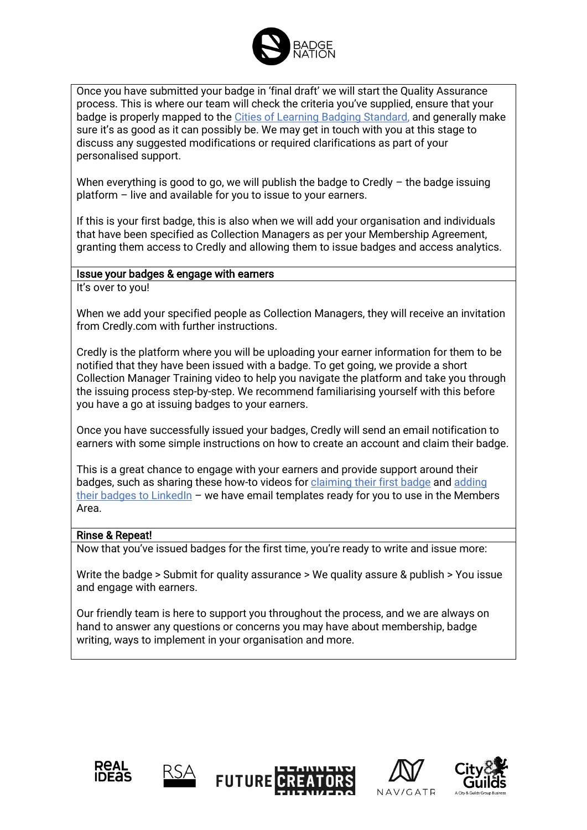

Once you have submitted your badge in 'final draft' we will start the Quality Assurance process. This is where our team will check the criteria you've supplied, ensure that your badge is properly mapped to the [Cities of Learning Badging Standard,](https://www.thersa.org/cities-of-learning/badging-standards) and generally make sure it's as good as it can possibly be. We may get in touch with you at this stage to discuss any suggested modifications or required clarifications as part of your personalised support.

When everything is good to go, we will publish the badge to Credly  $-$  the badge issuing platform – live and available for you to issue to your earners.

If this is your first badge, this is also when we will add your organisation and individuals that have been specified as Collection Managers as per your Membership Agreement, granting them access to Credly and allowing them to issue badges and access analytics.

#### Issue your badges & engage with earners

It's over to you!

When we add your specified people as Collection Managers, they will receive an invitation from Credly.com with further instructions.

Credly is the platform where you will be uploading your earner information for them to be notified that they have been issued with a badge. To get going, we provide a short Collection Manager Training video to help you navigate the platform and take you through the issuing process step-by-step. We recommend familiarising yourself with this before you have a go at issuing badges to your earners.

Once you have successfully issued your badges, Credly will send an email notification to earners with some simple instructions on how to create an account and claim their badge.

This is a great chance to engage with your earners and provide support around their badges, such as sharing these how-to videos for [claiming their first badge](https://www.youtube.com/watch?v=NhdfQnn5KbU) an[d adding](https://www.youtube.com/watch?v=o2DYt6bHSyw)  [their badges to LinkedIn](https://www.youtube.com/watch?v=o2DYt6bHSyw) – we have email templates ready for you to use in the Members Area.

#### Rinse & Repeat!

Now that you've issued badges for the first time, you're ready to write and issue more:

Write the badge > Submit for quality assurance > We quality assure & publish > You issue and engage with earners.

Our friendly team is here to support you throughout the process, and we are always on hand to answer any questions or concerns you may have about membership, badge writing, ways to implement in your organisation and more.









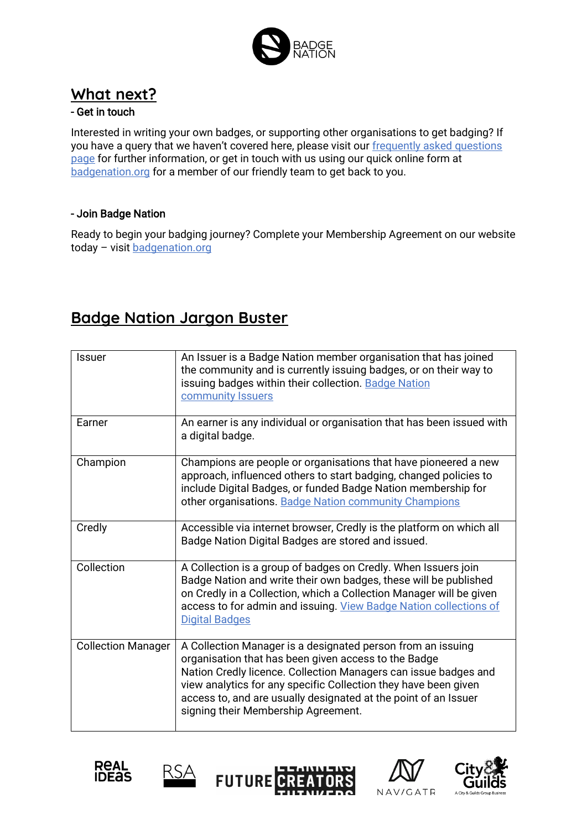

# <span id="page-9-0"></span>**What next?**

## - Get in touch

Interested in writing your own badges, or supporting other organisations to get badging? If you have a query that we haven't covered here, please visit our [frequently asked questions](https://www.badgenation.org/badge-school/costs-faqs/)  [page](https://www.badgenation.org/badge-school/costs-faqs/) for further information, or get in touch with us using our quick online form at [badgenation.org](https://www.badgenation.org/) for a member of our friendly team to get back to you.

## - Join Badge Nation

Ready to begin your badging journey? Complete your Membership Agreement on our website today - visit [badgenation.org](https://www.badgenation.org/)

# <span id="page-9-1"></span>**Badge Nation Jargon Buster**

| <b>Issuer</b>             | An Issuer is a Badge Nation member organisation that has joined<br>the community and is currently issuing badges, or on their way to<br>issuing badges within their collection. Badge Nation<br>community Issuers                                                                                                                                                   |
|---------------------------|---------------------------------------------------------------------------------------------------------------------------------------------------------------------------------------------------------------------------------------------------------------------------------------------------------------------------------------------------------------------|
| Earner                    | An earner is any individual or organisation that has been issued with<br>a digital badge.                                                                                                                                                                                                                                                                           |
| Champion                  | Champions are people or organisations that have pioneered a new<br>approach, influenced others to start badging, changed policies to<br>include Digital Badges, or funded Badge Nation membership for<br>other organisations. Badge Nation community Champions                                                                                                      |
| Credly                    | Accessible via internet browser, Credly is the platform on which all<br>Badge Nation Digital Badges are stored and issued.                                                                                                                                                                                                                                          |
| Collection                | A Collection is a group of badges on Credly. When Issuers join<br>Badge Nation and write their own badges, these will be published<br>on Credly in a Collection, which a Collection Manager will be given<br>access to for admin and issuing. View Badge Nation collections of<br><b>Digital Badges</b>                                                             |
| <b>Collection Manager</b> | A Collection Manager is a designated person from an issuing<br>organisation that has been given access to the Badge<br>Nation Credly licence. Collection Managers can issue badges and<br>view analytics for any specific Collection they have been given<br>access to, and are usually designated at the point of an Issuer<br>signing their Membership Agreement. |